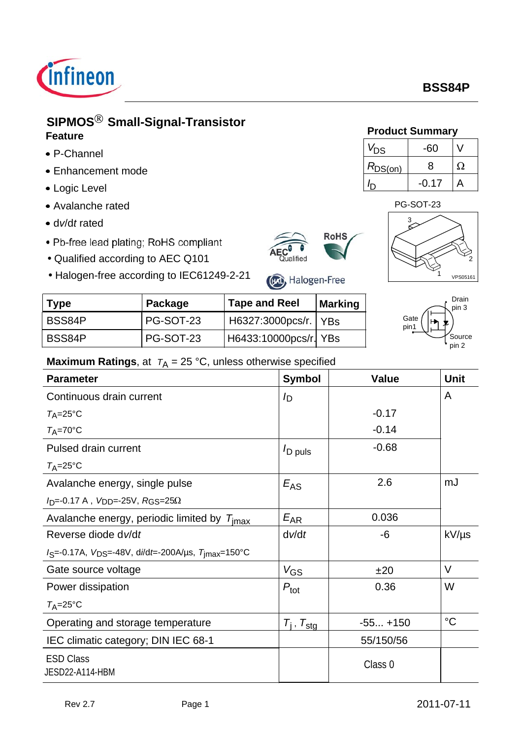

## **SIPMOS**<sup>®</sup> Small-Signal-Transistor **Product Summary Feature**

- P-Channel
- Enhancement mode
- Logic Level
- Avalanche rated
- d*v*/d*t* rated
- Pb-free lead plating; RoHS compliant
- Qualified according to AEC Q101
- Halogen-free according to IEC61249-2-21





 $V_{DS}$  | -60 | V

 $R_{DS(on)}$  8  $\Omega$ 

 $I_{\rm D}$ 

| (FG), Halogen-Free |  |  |
|--------------------|--|--|

| Traiger-riee according to TLCOTZ49-Z-ZT<br>(Hzt), Halogen-Free |           |                        |                |              |  |
|----------------------------------------------------------------|-----------|------------------------|----------------|--------------|--|
| Type                                                           | Package   | <b>Tape and Reel</b>   | <b>Marking</b> |              |  |
| BSS84P                                                         | PG-SOT-23 | H6327:3000pcs/r.   YBs |                | Gate<br>pin1 |  |
| BSS84P                                                         | PG-SOT-23 | H6433:10000pcs/r YBs   |                |              |  |



1

VPS05161

#### **Maximum Ratings**, at  $T_A = 25 \text{ °C}$ , unless otherwise specified

| <b>Parameter</b>                                                        | <b>Symbol</b>               | <b>Value</b> | <b>Unit</b>     |
|-------------------------------------------------------------------------|-----------------------------|--------------|-----------------|
| Continuous drain current                                                | /D                          |              | A               |
| $T_A = 25$ °C                                                           |                             | $-0.17$      |                 |
| $T_A = 70$ °C                                                           |                             | $-0.14$      |                 |
| Pulsed drain current                                                    | $I_{\text{D puls}}$         | $-0.68$      |                 |
| $T_A = 25$ °C                                                           |                             |              |                 |
| Avalanche energy, single pulse                                          | $E_{AS}$                    | 2.6          | mJ              |
| $I_D$ =-0.17 A, V <sub>DD</sub> =-25V, RGS=25 $\Omega$                  |                             |              |                 |
| Avalanche energy, periodic limited by $T_{\text{imax}}$                 | $E_{AR}$                    | 0.036        |                 |
| Reverse diode dv/dt                                                     | $d$ <i>v</i> $dt$           | -6           | $kV/\mu s$      |
| $I_S$ =-0.17A, $V_{DS}$ =-48V, di/dt=-200A/us, $T_{\text{jmax}}$ =150°C |                             |              |                 |
| Gate source voltage                                                     | $V_{GS}$                    | ±20          | $\vee$          |
| Power dissipation                                                       | $P_{\text{tot}}$            | 0.36         | W               |
| $T_A = 25$ °C                                                           |                             |              |                 |
| Operating and storage temperature                                       | $T_{\rm i}$ , $T_{\rm stg}$ | $-55 + 150$  | $\rm ^{\circ}C$ |
| IEC climatic category; DIN IEC 68-1                                     |                             | 55/150/56    |                 |
| <b>ESD Class</b><br>JESD22-A114-HBM                                     |                             | Class 0      |                 |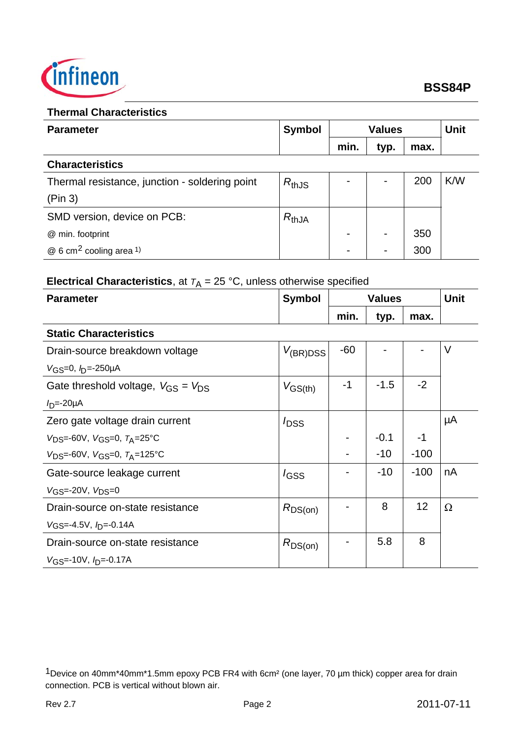

#### **Thermal Characteristics**

| <b>Parameter</b>                               | <b>Symbol</b><br><b>Values</b> |      | <b>Unit</b>    |      |     |
|------------------------------------------------|--------------------------------|------|----------------|------|-----|
|                                                |                                | min. | typ.           | max. |     |
| <b>Characteristics</b>                         |                                |      |                |      |     |
| Thermal resistance, junction - soldering point | $R_{thJS}$                     |      | $\blacksquare$ | 200  | K/W |
| (Pin 3)                                        |                                |      |                |      |     |
| SMD version, device on PCB:                    | $R_{thJA}$                     |      |                |      |     |
| @ min. footprint                               |                                |      | $\blacksquare$ | 350  |     |
| $@6$ cm <sup>2</sup> cooling area 1)           |                                |      | $\blacksquare$ | 300  |     |

# **Electrical Characteristics**, at  $T_A = 25$  °C, unless otherwise specified

| <b>Parameter</b>                                     | <b>Symbol</b>    | <b>Values</b> |        |        | <b>Unit</b> |
|------------------------------------------------------|------------------|---------------|--------|--------|-------------|
|                                                      |                  | min.          | typ.   | max.   |             |
| <b>Static Characteristics</b>                        |                  |               |        |        |             |
| Drain-source breakdown voltage                       | $V_{(BR)DSS}$    | $-60$         |        |        | $\vee$      |
| $V$ <sub>GS</sub> =0, $I_D$ =-250µA                  |                  |               |        |        |             |
| Gate threshold voltage, $V_{\rm GS} = V_{\rm DS}$    | $V_{GS(th)}$     | -1            | $-1.5$ | $-2$   |             |
| $ID=-20\mu A$                                        |                  |               |        |        |             |
| Zero gate voltage drain current                      | $I_{\text{DSS}}$ |               |        |        | μA          |
| $V_{DS} = -60V$ , $V_{GS} = 0$ , $T_A = 25^{\circ}C$ |                  |               | $-0.1$ | $-1$   |             |
| $V_{DS} = -60V$ , $V_{GS} = 0$ , $T_A = 125$ °C      |                  |               | $-10$  | $-100$ |             |
| Gate-source leakage current                          | $I_{GSS}$        |               | $-10$  | $-100$ | nA          |
| $V$ <sub>GS</sub> =-20V, $V_{DS}=0$                  |                  |               |        |        |             |
| Drain-source on-state resistance                     | $R_{DS(on)}$     |               | 8      | 12     | $\Omega$    |
| $VGS = -4.5V$ , $I_D = -0.14A$                       |                  |               |        |        |             |
| Drain-source on-state resistance                     | $R_{DS(on)}$     |               | 5.8    | 8      |             |
| $V$ <sub>GS</sub> =-10V, $I$ <sub>D</sub> =-0.17A    |                  |               |        |        |             |

<sup>1</sup>Device on 40mm\*40mm\*1.5mm epoxy PCB FR4 with 6cm² (one layer, 70 µm thick) copper area for drain connection. PCB is vertical without blown air.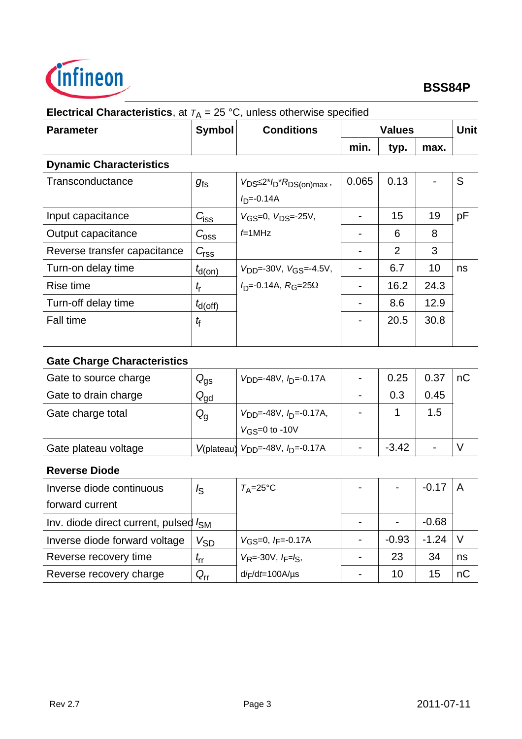

| <b>Parameter</b>                   | <b>Symbol</b>    | <b>Conditions</b>                                              | <b>Values</b>  |                |      | <b>Unit</b> |
|------------------------------------|------------------|----------------------------------------------------------------|----------------|----------------|------|-------------|
|                                    |                  |                                                                | min.           | typ.           | max. |             |
| <b>Dynamic Characteristics</b>     |                  |                                                                |                |                |      |             |
| Transconductance                   | $g_{\rm fs}$     | $V_{DS} \leq 2 \times I_D \times R_{DS(on)max}$<br>$ID=-0.14A$ | 0.065          | 0.13           |      | S           |
| Input capacitance                  | $C_{\text{ISS}}$ | $V_{GS}=0, V_{DS}=25V,$                                        | $\blacksquare$ | 15             | 19   | pF          |
| Output capacitance                 | $C_{\rm 0ss}$    | $f=1$ MHz                                                      |                | 6              | 8    |             |
| Reverse transfer capacitance       | $C_{\text{rss}}$ |                                                                |                | $\overline{2}$ | 3    |             |
| Turn-on delay time                 | $t_{d(on)}$      | $V_{DD} = -30V$ , $V_{GS} = -4.5V$ ,                           |                | 6.7            | 10   | ns          |
| Rise time                          | $t_{\sf r}$      | $ID=-0.14A$ , $RG=25\Omega$                                    |                | 16.2           | 24.3 |             |
| Turn-off delay time                | $t_{\rm d(Off)}$ |                                                                | -              | 8.6            | 12.9 |             |
| <b>Fall time</b>                   | tf               |                                                                |                | 20.5           | 30.8 |             |
| <b>Gate Charge Characteristics</b> |                  |                                                                |                |                |      |             |

# **Electrical Characteristics**, at  $T_A = 25$  °C, unless otherwise specified

| Gate to source charge | $Q_{\rm{gs}}$   | $V_{\text{DD}} = -48V$ , $I_{\text{D}} = -0.17A$ | 0.25    | 0.37 | nC |
|-----------------------|-----------------|--------------------------------------------------|---------|------|----|
| Gate to drain charge  | $Q_{\text{gd}}$ |                                                  | 0.3     | 0.45 |    |
| Gate charge total     | $Q_{q}$         | $V_{\text{DD}} = -48V, h_{\text{D}} = -0.17A,$   |         | 1.5  |    |
|                       |                 | $V$ <sub>GS</sub> =0 to -10V                     |         |      |    |
| Gate plateau voltage  |                 | $V($ plateau) $V_{DD}$ =-48V, $I_D$ =-0.17A      | $-3.42$ |      |    |
|                       |                 |                                                  |         |      |    |

### **Reverse Diode**

| Inverse diode continuous                                 | I <sub>S</sub>             | $T_{\rm A}$ =25°C                              | $\blacksquare$ |                | $-0.17$ |    |
|----------------------------------------------------------|----------------------------|------------------------------------------------|----------------|----------------|---------|----|
| forward current                                          |                            |                                                |                |                |         |    |
| Inv. diode direct current, pulsed <i>I</i> <sub>SM</sub> |                            |                                                |                | $\blacksquare$ | $-0.68$ |    |
| Inverse diode forward voltage                            | V <sub>SD</sub>            | $V$ <sub>GS</sub> =0, $I$ <sub>F</sub> =-0.17A |                | $-0.93$        | $-1.24$ |    |
| Reverse recovery time                                    | $\mathbf{r}$               | $V_R$ =-30V, $I_F = I_S$ ,                     |                | 23             | 34      | ns |
| Reverse recovery charge                                  | $\mathsf{Q}_{\mathsf{rr}}$ | $di$ F/dt=100A/µs                              |                | 10             | 15      | nC |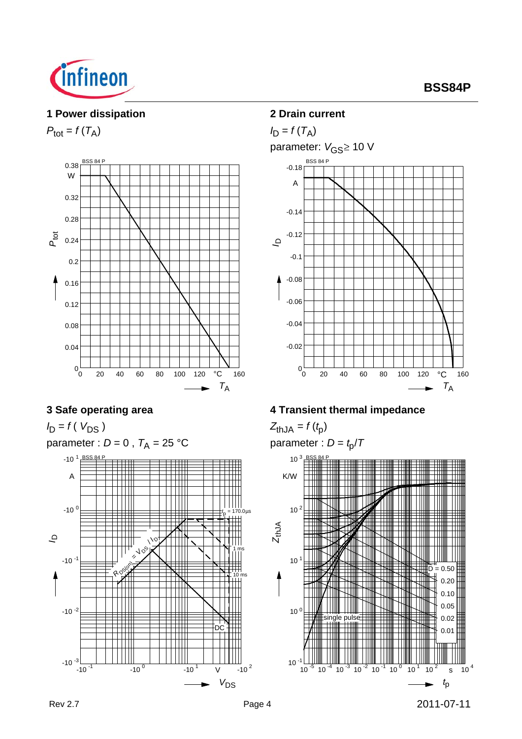

#### **1 Power dissipation**

 $P_{\text{tot}} = f(T_A)$ 



### **3 Safe operating area**

 $I_D = f(V_{DS})$ parameter :  $D = 0$ ,  $T_A = 25$  °C  $-10^{-1}$   $-10^{0}$   $-10^{1}$   $V$   $-10^{2}$ *V*DS  $-10^{-3}$  $-10^{-2}$  $-10^{-1}$  $-10^{0}$  $-10^{1}$ A BSS 84 P *I*<sup>D</sup> **ROSE** / *<sup>I</sup>*<sup>D</sup> DC 10 ms 1 ms  *t* p = 170.0µs

## **2 Drain current**



## **4 Transient thermal impedance**

 $Z_{thJA} = f(t_p)$ 



Rev 2.7 2011-07-11 Page 4 2011-07-11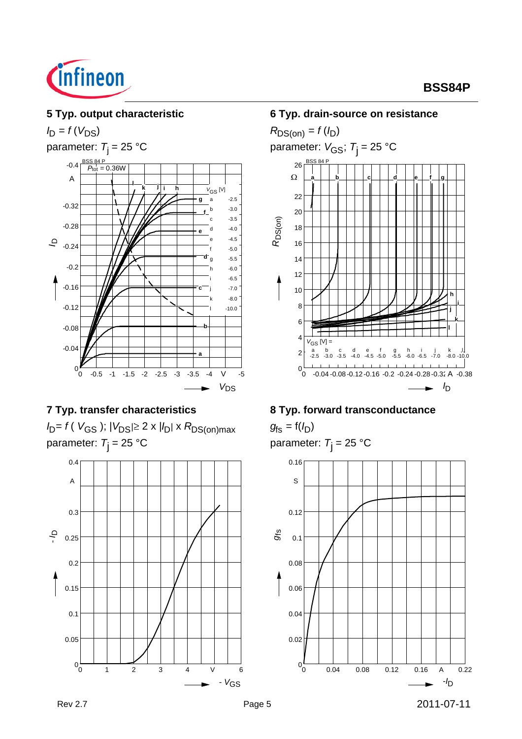

## **5 Typ. output characteristic**

 $I_D = f(V_{DS})$ 

parameter:  $T_i = 25 °C$ 



## **7 Typ. transfer characteristics**

*I*<sub>D</sub>= *f* (*V*<sub>GS</sub> ); |*V*<sub>DS</sub>|≥ 2 x |*I*<sub>D</sub>| x *R*<sub>DS(on)max</sub> parameter: *T*j = 25 °C



#### **6 Typ. drain-source on resistance**



### **8 Typ. forward transconductance**

 $g_{fs} = f(I_D)$ parameter: *T*j = 25 °C

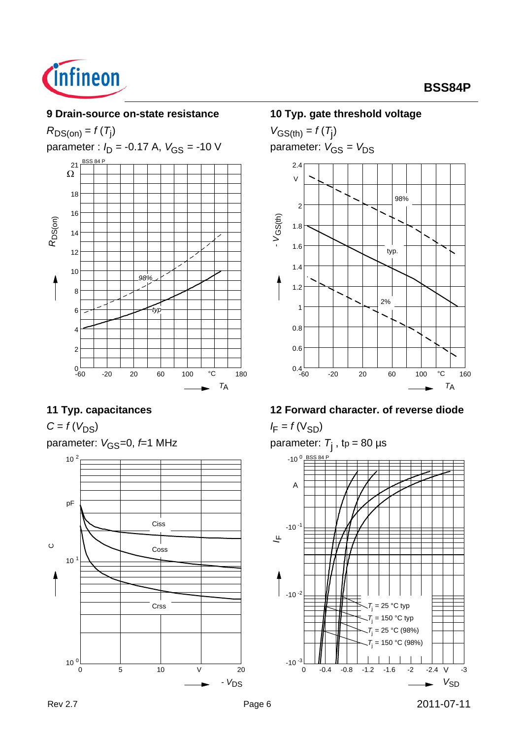

#### **9 Drain-source on-state resistance**

 $R_{DS(on)} = f(T_j)$ parameter :  $I_D$  = -0.17 A,  $V_{GS}$  = -10 V -60 -20 20 60 100 °C 180 *T*A  $^{0}$  –60 2 4 6 8 10 12 14 16 18  $\overline{\Omega}$  $21$ *R*DS(on) *typ 98%*

## **11 Typ. capacitances**

 $C = f(V_{DS})$ 

```
parameter: V_{\text{GS}}=0, f=1 MHz
       10<sup>1</sup>10<sup>2</sup>pF
\circCoss
                                        Ciss
```
0 5 10 V 20

Crss

#### **10 Typ. gate threshold voltage**

 $V_{GS(th)} = f(T_{\rm j})$ parameter:  $V_{GS} = V_{DS}$ 



### **12 Forward character. of reverse diode**

 $I_F = f(V_{SD})$ 

Rev 2.7 2011-07-11 **Page 6** 2011-07-11 parameter: *T*j , tp = 80 µs 0 -0.4 -0.8 -1.2 -1.6 -2 -2.4 V -3 *V*SD  $-10^{-3}$  0  $-10^{-2}$  $-10^{-1}$  $-10<sup>0</sup>$ A BSS 84 P *I*<sup>F</sup>  $T$  $= 25 °C$  typ *T*j  $= 25 °C (98%)$  $T$ <sub>j</sub> = 150 °C typ *T*j  $= 150 °C (98%)$ 

# **BSS84P**

 $10^{0}$   $\frac{1}{0}$ 

- *V*DS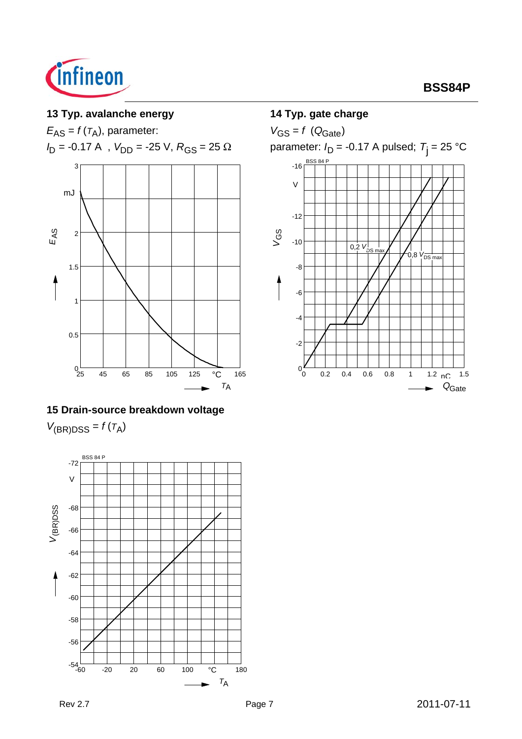

## **13 Typ. avalanche energy**

*E*AS = *f* (*T*A), parameter:

 $I_D$  = -0.17 A ,  $V_{DD}$  = -25 V,  $R_{GS}$  = 25  $\Omega$ 



### **15 Drain-source breakdown voltage**

 $V_{(BR)DSS} = f(T_A)$ 



#### **14 Typ. gate charge**

 $V_{GS} = f (Q_{Gate})$ parameter: *I*<sub>D</sub> = -0.17 A pulsed; *T*<sub>j</sub> = 25 °C BSS 84 P